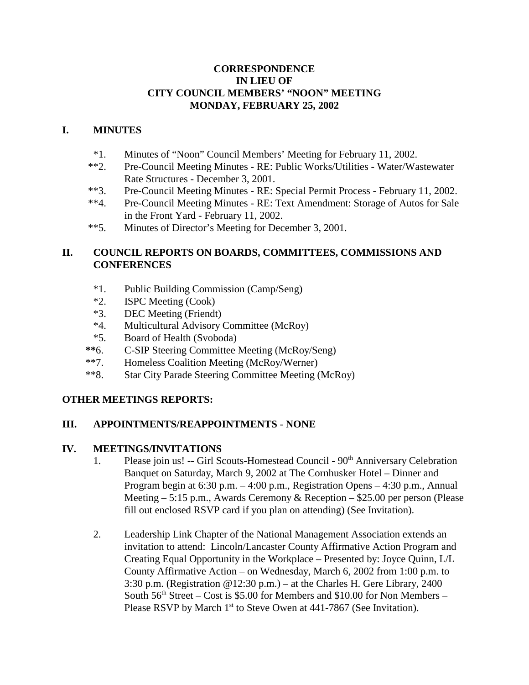### **CORRESPONDENCE IN LIEU OF CITY COUNCIL MEMBERS' "NOON" MEETING MONDAY, FEBRUARY 25, 2002**

### **I. MINUTES**

- \*1. Minutes of "Noon" Council Members' Meeting for February 11, 2002.
- \*\*2. Pre-Council Meeting Minutes RE: Public Works/Utilities Water/Wastewater Rate Structures - December 3, 2001.
- \*\*3. Pre-Council Meeting Minutes RE: Special Permit Process February 11, 2002.
- \*\*4. Pre-Council Meeting Minutes RE: Text Amendment: Storage of Autos for Sale in the Front Yard - February 11, 2002.
- \*\*5. Minutes of Director's Meeting for December 3, 2001.

### **II. COUNCIL REPORTS ON BOARDS, COMMITTEES, COMMISSIONS AND CONFERENCES**

- \*1. Public Building Commission (Camp/Seng)
- \*2. ISPC Meeting (Cook)
- \*3. DEC Meeting (Friendt)
- \*4. Multicultural Advisory Committee (McRoy)
- \*5. Board of Health (Svoboda)
- **\*\***6. C-SIP Steering Committee Meeting (McRoy/Seng)
- \*\*7. Homeless Coalition Meeting (McRoy/Werner)
- \*\*8. Star City Parade Steering Committee Meeting (McRoy)

# **OTHER MEETINGS REPORTS:**

### **III. APPOINTMENTS/REAPPOINTMENTS** - **NONE**

### **IV. MEETINGS/INVITATIONS**

- 1. Please join us! -- Girl Scouts-Homestead Council  $90<sup>th</sup>$  Anniversary Celebration Banquet on Saturday, March 9, 2002 at The Cornhusker Hotel – Dinner and Program begin at 6:30 p.m. – 4:00 p.m., Registration Opens – 4:30 p.m., Annual Meeting  $-5:15$  p.m., Awards Ceremony & Reception  $-$  \$25.00 per person (Please) fill out enclosed RSVP card if you plan on attending) (See Invitation).
- 2. Leadership Link Chapter of the National Management Association extends an invitation to attend: Lincoln/Lancaster County Affirmative Action Program and Creating Equal Opportunity in the Workplace – Presented by: Joyce Quinn, L/L County Affirmative Action – on Wednesday, March 6, 2002 from 1:00 p.m. to 3:30 p.m. (Registration  $@12:30$  p.m.) – at the Charles H. Gere Library, 2400 South  $56<sup>th</sup> Street - Cost is $5.00 for Members and $10.00 for Non Members -$ Please RSVP by March 1<sup>st</sup> to Steve Owen at 441-7867 (See Invitation).